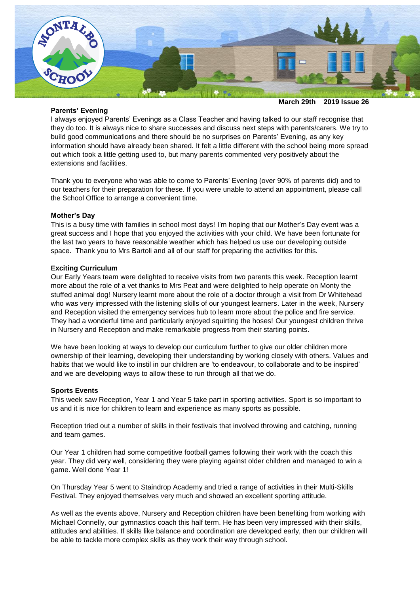

## **Parents' Evening**

I always enjoyed Parents' Evenings as a Class Teacher and having talked to our staff recognise that they do too. It is always nice to share successes and discuss next steps with parents/carers. We try to build good communications and there should be no surprises on Parents' Evening, as any key information should have already been shared. It felt a little different with the school being more spread out which took a little getting used to, but many parents commented very positively about the extensions and facilities.

Thank you to everyone who was able to come to Parents' Evening (over 90% of parents did) and to our teachers for their preparation for these. If you were unable to attend an appointment, please call the School Office to arrange a convenient time.

# **Mother's Day**

This is a busy time with families in school most days! I'm hoping that our Mother's Day event was a great success and I hope that you enjoyed the activities with your child. We have been fortunate for the last two years to have reasonable weather which has helped us use our developing outside space. Thank you to Mrs Bartoli and all of our staff for preparing the activities for this.

### **Exciting Curriculum**

Our Early Years team were delighted to receive visits from two parents this week. Reception learnt more about the role of a vet thanks to Mrs Peat and were delighted to help operate on Monty the stuffed animal dog! Nursery learnt more about the role of a doctor through a visit from Dr Whitehead who was very impressed with the listening skills of our youngest learners. Later in the week, Nursery and Reception visited the emergency services hub to learn more about the police and fire service. They had a wonderful time and particularly enjoyed squirting the hoses! Our youngest children thrive in Nursery and Reception and make remarkable progress from their starting points.

We have been looking at ways to develop our curriculum further to give our older children more ownership of their learning, developing their understanding by working closely with others. Values and habits that we would like to instil in our children are 'to endeavour, to collaborate and to be inspired' and we are developing ways to allow these to run through all that we do.

### **Sports Events**

This week saw Reception, Year 1 and Year 5 take part in sporting activities. Sport is so important to us and it is nice for children to learn and experience as many sports as possible.

Reception tried out a number of skills in their festivals that involved throwing and catching, running and team games.

Our Year 1 children had some competitive football games following their work with the coach this year. They did very well, considering they were playing against older children and managed to win a game. Well done Year 1!

On Thursday Year 5 went to Staindrop Academy and tried a range of activities in their Multi-Skills Festival. They enjoyed themselves very much and showed an excellent sporting attitude.

As well as the events above, Nursery and Reception children have been benefiting from working with Michael Connelly, our gymnastics coach this half term. He has been very impressed with their skills, attitudes and abilities. If skills like balance and coordination are developed early, then our children will be able to tackle more complex skills as they work their way through school.